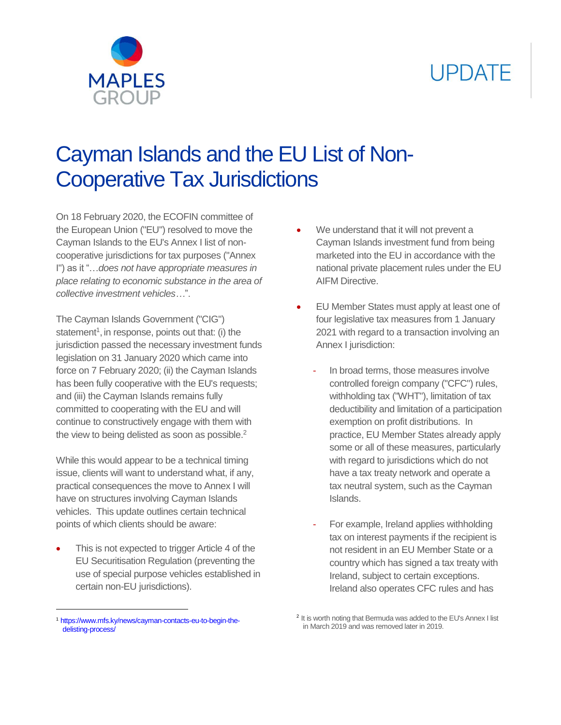# **UPDATE**



## Cayman Islands and the EU List of Non-Cooperative Tax Jurisdictions

On 18 February 2020, the ECOFIN committee of the European Union ("EU") resolved to move the Cayman Islands to the EU's Annex I list of noncooperative jurisdictions for tax purposes ("Annex I") as it "…*does not have appropriate measures in place relating to economic substance in the area of collective investment vehicles…*".

The Cayman Islands Government ("CIG") statement<sup>1</sup>, in response, points out that: (i) the jurisdiction passed the necessary investment funds legislation on 31 January 2020 which came into force on 7 February 2020; (ii) the Cayman Islands has been fully cooperative with the EU's requests; and (iii) the Cayman Islands remains fully committed to cooperating with the EU and will continue to constructively engage with them with the view to being delisted as soon as possible.<sup>2</sup>

While this would appear to be a technical timing issue, clients will want to understand what, if any, practical consequences the move to Annex I will have on structures involving Cayman Islands vehicles. This update outlines certain technical points of which clients should be aware:

 This is not expected to trigger Article 4 of the EU Securitisation Regulation (preventing the use of special purpose vehicles established in certain non-EU jurisdictions).

- We understand that it will not prevent a Cayman Islands investment fund from being marketed into the EU in accordance with the national private placement rules under the EU AIFM Directive.
- EU Member States must apply at least one of four legislative tax measures from 1 January 2021 with regard to a transaction involving an Annex I jurisdiction:
	- In broad terms, those measures involve controlled foreign company ("CFC") rules, withholding tax ("WHT"), limitation of tax deductibility and limitation of a participation exemption on profit distributions. In practice, EU Member States already apply some or all of these measures, particularly with regard to jurisdictions which do not have a tax treaty network and operate a tax neutral system, such as the Cayman Islands.
	- For example, Ireland applies withholding tax on interest payments if the recipient is not resident in an EU Member State or a country which has signed a tax treaty with Ireland, subject to certain exceptions. Ireland also operates CFC rules and has

 $\overline{a}$ 

<sup>1</sup> [https://www.mfs.ky/news/cayman-contacts-eu-to-begin-the](https://www.mfs.ky/news/cayman-contacts-eu-to-begin-the-delisting-process/)[delisting-process/](https://www.mfs.ky/news/cayman-contacts-eu-to-begin-the-delisting-process/)

<sup>&</sup>lt;sup>2</sup> It is worth noting that Bermuda was added to the EU's Annex I list in March 2019 and was removed later in 2019.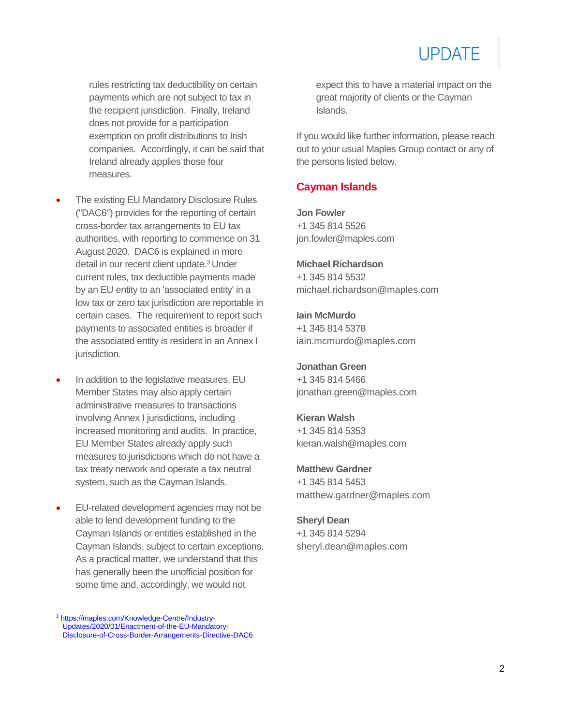rules restricting tax deductibility on certain payments which are not subject to tax in the recipient jurisdiction. Finally, Ireland does not provide for a participation exemption on profit distributions to Irish companies. Accordingly, it can be said that Ireland already applies those four measures.

- The existing EU Mandatory Disclosure Rules ("DAC6") provides for the reporting of certain cross-border tax arrangements to EU tax authorities, with reporting to commence on 31 August 2020. DAC6 is explained in more detail in our recent client update. <sup>3</sup> Under current rules, tax deductible payments made by an EU entity to an 'associated entity' in a low tax or zero tax jurisdiction are reportable in certain cases. The requirement to report such payments to associated entities is broader if the associated entity is resident in an Annex I jurisdiction.
- In addition to the legislative measures, EU Member States may also apply certain administrative measures to transactions involving Annex I jurisdictions, including increased monitoring and audits. In practice, EU Member States already apply such measures to jurisdictions which do not have a tax treaty network and operate a tax neutral system, such as the Cayman Islands.
- EU-related development agencies may not be able to lend development funding to the Cayman Islands or entities established in the Cayman Islands, subject to certain exceptions. As a practical matter, we understand that this has generally been the unofficial position for some time and, accordingly, we would not

 $\overline{a}$ 

expect this to have a material impact on the great majority of clients or the Cayman Islands.

If you would like further information, please reach out to your usual Maples Group contact or any of the persons listed below.

### **Cayman Islands**

**Jon Fowler** +1 345 814 5526 [jon.fowler@maples.com](mailto:jon.fowler@maples.com)

**Michael Richardson** +1 345 814 5532 [michael.richardson@maples.com](mailto:michael.richardson@maples.com)

**Iain McMurdo** +1 345 814 5378 [iain.mcmurdo@maples.com](mailto:Iain.mcmurdo@maples.com)

**Jonathan Green** +1 345 814 5466 [jonathan.green@maples.com](mailto:jonathan.green@maples.com)

**Kieran Walsh** +1 345 814 5353 kieran.walsh@maples.com

**Matthew Gardner** +1 345 814 5453 [matthew.gardner@maples.com](mailto:matthew.gardner@maples.com)

#### **Sheryl Dean**

+1 345 814 5294 [sheryl.dean@maples.com](mailto:sheryl.dean@maples.com)

<sup>3</sup> [https://maples.com/Knowledge-Centre/Industry-](https://maples.com/Knowledge-Centre/Industry-Updates/2020/01/Enactment-of-the-EU-Mandatory-Disclosure-of-Cross-Border-Arrangements-Directive-DAC6)[Updates/2020/01/Enactment-of-the-EU-Mandatory-](https://maples.com/Knowledge-Centre/Industry-Updates/2020/01/Enactment-of-the-EU-Mandatory-Disclosure-of-Cross-Border-Arrangements-Directive-DAC6)[Disclosure-of-Cross-Border-Arrangements-Directive-DAC6](https://maples.com/Knowledge-Centre/Industry-Updates/2020/01/Enactment-of-the-EU-Mandatory-Disclosure-of-Cross-Border-Arrangements-Directive-DAC6)